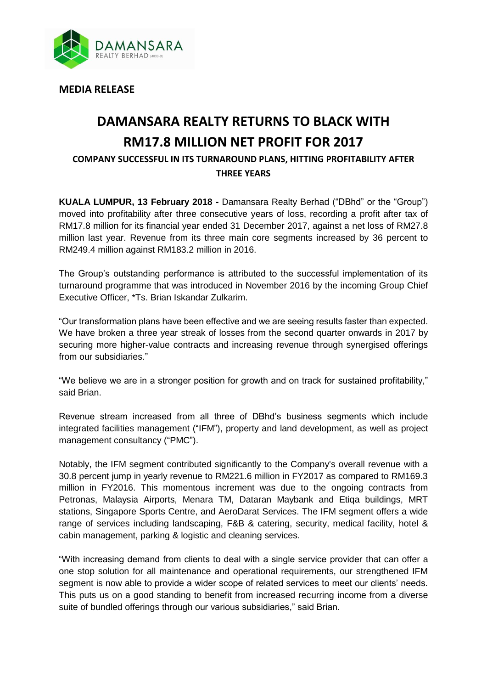

**MEDIA RELEASE**

## **DAMANSARA REALTY RETURNS TO BLACK WITH RM17.8 MILLION NET PROFIT FOR 2017**

**COMPANY SUCCESSFUL IN ITS TURNAROUND PLANS, HITTING PROFITABILITY AFTER THREE YEARS**

**KUALA LUMPUR, 13 February 2018 -** Damansara Realty Berhad ("DBhd" or the "Group") moved into profitability after three consecutive years of loss, recording a profit after tax of RM17.8 million for its financial year ended 31 December 2017, against a net loss of RM27.8 million last year. Revenue from its three main core segments increased by 36 percent to RM249.4 million against RM183.2 million in 2016.

The Group's outstanding performance is attributed to the successful implementation of its turnaround programme that was introduced in November 2016 by the incoming Group Chief Executive Officer, \*Ts. Brian Iskandar Zulkarim.

"Our transformation plans have been effective and we are seeing results faster than expected. We have broken a three year streak of losses from the second quarter onwards in 2017 by securing more higher-value contracts and increasing revenue through synergised offerings from our subsidiaries."

"We believe we are in a stronger position for growth and on track for sustained profitability," said Brian.

Revenue stream increased from all three of DBhd's business segments which include integrated facilities management ("IFM"), property and land development, as well as project management consultancy ("PMC").

Notably, the IFM segment contributed significantly to the Company's overall revenue with a 30.8 percent jump in yearly revenue to RM221.6 million in FY2017 as compared to RM169.3 million in FY2016. This momentous increment was due to the ongoing contracts from Petronas, Malaysia Airports, Menara TM, Dataran Maybank and Etiqa buildings, MRT stations, Singapore Sports Centre, and AeroDarat Services. The IFM segment offers a wide range of services including landscaping, F&B & catering, security, medical facility, hotel & cabin management, parking & logistic and cleaning services.

"With increasing demand from clients to deal with a single service provider that can offer a one stop solution for all maintenance and operational requirements, our strengthened IFM segment is now able to provide a wider scope of related services to meet our clients' needs. This puts us on a good standing to benefit from increased recurring income from a diverse suite of bundled offerings through our various subsidiaries," said Brian.